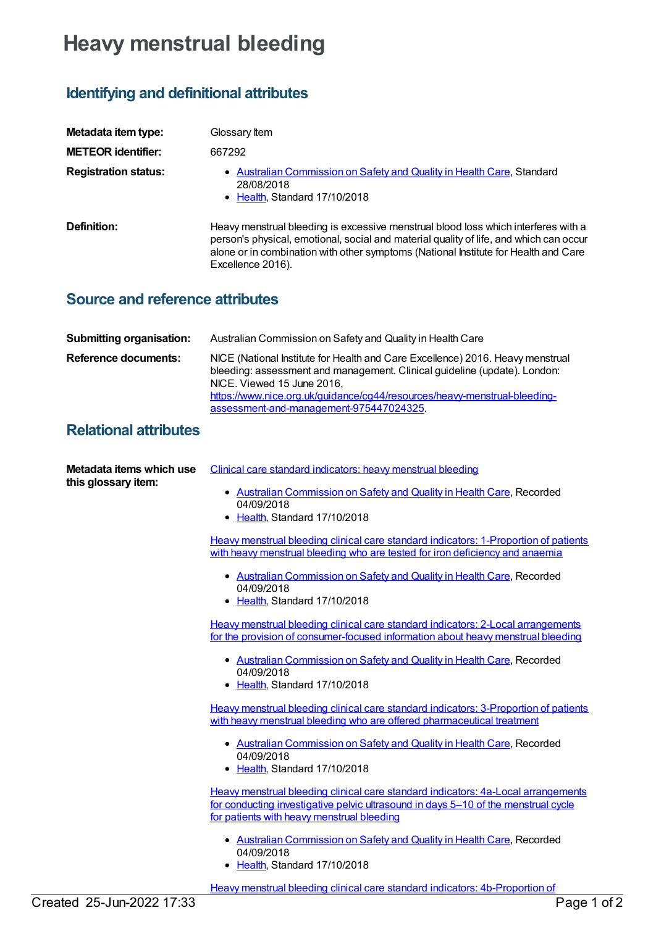## **Heavy menstrual bleeding**

## **Identifying and definitional attributes**

| Metadata item type:<br><b>METEOR identifier:</b> | Glossary Item<br>667292                                                                                                                                                                                                                                                                  |
|--------------------------------------------------|------------------------------------------------------------------------------------------------------------------------------------------------------------------------------------------------------------------------------------------------------------------------------------------|
| <b>Registration status:</b>                      | Australian Commission on Safety and Quality in Health Care, Standard<br>28/08/2018<br>• Health, Standard 17/10/2018                                                                                                                                                                      |
| Definition:                                      | Heavy menstrual bleeding is excessive menstrual blood loss which interferes with a<br>person's physical, emotional, social and material quality of life, and which can occur<br>alone or in combination with other symptoms (National Institute for Health and Care<br>Excellence 2016). |

## **Source and reference attributes**

| <b>Submitting organisation:</b> | Australian Commission on Safety and Quality in Health Care                                                                                                                                                                                                                                                        |
|---------------------------------|-------------------------------------------------------------------------------------------------------------------------------------------------------------------------------------------------------------------------------------------------------------------------------------------------------------------|
| <b>Reference documents:</b>     | NICE (National Institute for Health and Care Excellence) 2016. Heavy menstrual<br>bleeding: assessment and management. Clinical guideline (update). London:<br>NICE. Viewed 15 June 2016.<br>https://www.nice.org.uk/guidance/cg44/resources/heavy-menstrual-bleeding-<br>assessment-and-management-975447024325. |

## **Relational attributes**

| Metadata items which use<br>this glossary item: | Clinical care standard indicators: heavy menstrual bleeding                                                                                                                                                           |
|-------------------------------------------------|-----------------------------------------------------------------------------------------------------------------------------------------------------------------------------------------------------------------------|
|                                                 | • Australian Commission on Safety and Quality in Health Care, Recorded<br>04/09/2018                                                                                                                                  |
|                                                 | • Health, Standard 17/10/2018                                                                                                                                                                                         |
|                                                 | Heavy menstrual bleeding clinical care standard indicators: 1-Proportion of patients<br>with heavy menstrual bleeding who are tested for iron deficiency and anaemia                                                  |
|                                                 | • Australian Commission on Safety and Quality in Health Care, Recorded<br>04/09/2018                                                                                                                                  |
|                                                 | • Health, Standard 17/10/2018                                                                                                                                                                                         |
|                                                 | Heavy menstrual bleeding clinical care standard indicators: 2-Local arrangements<br>for the provision of consumer-focused information about heavy menstrual bleeding                                                  |
|                                                 | • Australian Commission on Safety and Quality in Health Care, Recorded<br>04/09/2018<br>• Health, Standard 17/10/2018                                                                                                 |
|                                                 | Heavy menstrual bleeding clinical care standard indicators: 3-Proportion of patients<br>with heavy menstrual bleeding who are offered pharmaceutical treatment                                                        |
|                                                 | • Australian Commission on Safety and Quality in Health Care, Recorded<br>04/09/2018<br>• Health, Standard 17/10/2018                                                                                                 |
|                                                 | Heavy menstrual bleeding clinical care standard indicators: 4a-Local arrangements<br>for conducting investigative pelvic ultrasound in days 5-10 of the menstrual cycle<br>for patients with heavy menstrual bleeding |
|                                                 | • Australian Commission on Safety and Quality in Health Care, Recorded<br>04/09/2018<br>• Health, Standard 17/10/2018                                                                                                 |

Heavy menstrual bleeding clinical care standard indicators: 4b-Proportion of